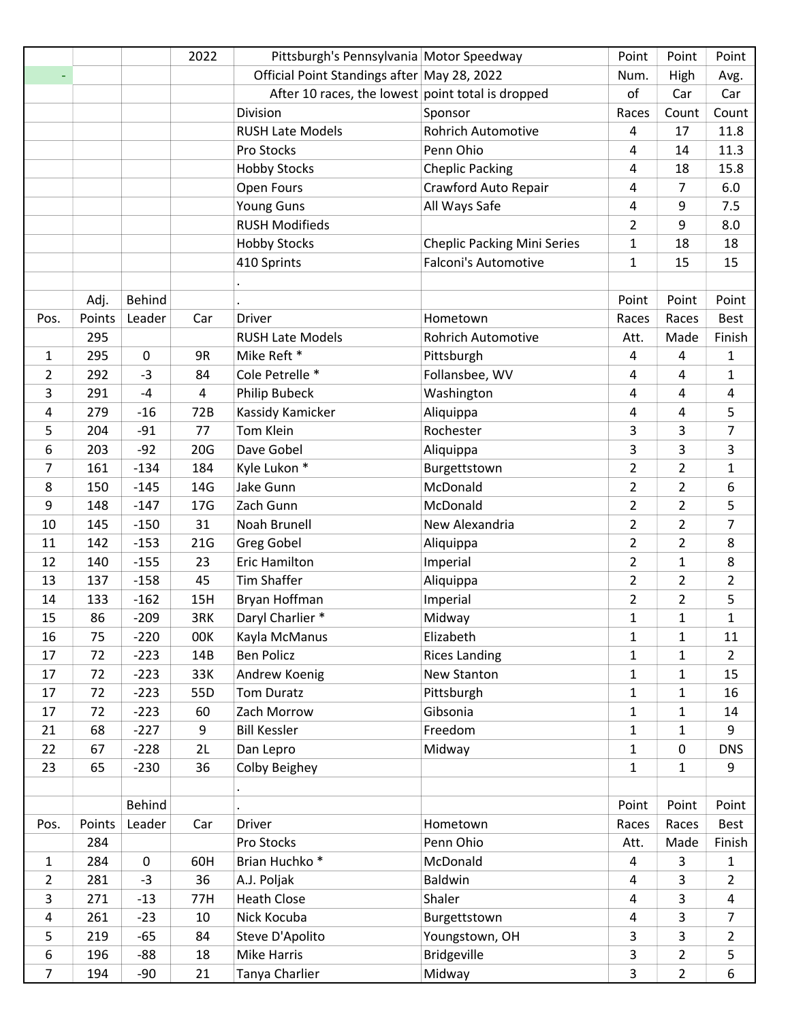|                |        |                  | 2022 | Pittsburgh's Pennsylvania Motor Speedway          |                                    | Point          | Point          | Point          |
|----------------|--------|------------------|------|---------------------------------------------------|------------------------------------|----------------|----------------|----------------|
|                |        |                  |      | Official Point Standings after May 28, 2022       |                                    | Num.           | High           | Avg.           |
|                |        |                  |      | After 10 races, the lowest point total is dropped |                                    | of             | Car            | Car            |
|                |        |                  |      | Division                                          | Sponsor                            | Races          | Count          | Count          |
|                |        |                  |      | <b>RUSH Late Models</b>                           | <b>Rohrich Automotive</b>          | 4              | 17             | 11.8           |
|                |        |                  |      | Pro Stocks                                        | Penn Ohio                          | 4              | 14             | 11.3           |
|                |        |                  |      | <b>Hobby Stocks</b>                               | <b>Cheplic Packing</b>             | 4              | 18             | 15.8           |
|                |        |                  |      | Open Fours                                        | Crawford Auto Repair               | 4              | 7              | 6.0            |
|                |        |                  |      | <b>Young Guns</b>                                 | All Ways Safe                      | 4              | 9              | 7.5            |
|                |        |                  |      | <b>RUSH Modifieds</b>                             |                                    | $\overline{2}$ | 9              | 8.0            |
|                |        |                  |      | <b>Hobby Stocks</b>                               | <b>Cheplic Packing Mini Series</b> | $\mathbf{1}$   | 18             | 18             |
|                |        |                  |      | 410 Sprints                                       | <b>Falconi's Automotive</b>        | $\mathbf{1}$   | 15             | 15             |
|                |        |                  |      |                                                   |                                    |                |                |                |
|                | Adj.   | <b>Behind</b>    |      |                                                   |                                    | Point          | Point          | Point          |
| Pos.           | Points | Leader           | Car  | Driver                                            | Hometown                           | Races          | Races          | <b>Best</b>    |
|                | 295    |                  |      | <b>RUSH Late Models</b>                           | <b>Rohrich Automotive</b>          | Att.           | Made           | Finish         |
| 1              | 295    | $\boldsymbol{0}$ | 9R   | Mike Reft *                                       | Pittsburgh                         | 4              | 4              | $\mathbf{1}$   |
| 2              | 292    | $-3$             | 84   | Cole Petrelle *                                   | Follansbee, WV                     | 4              | 4              | $\mathbf{1}$   |
| 3              | 291    | $-4$             | 4    | Philip Bubeck                                     | Washington                         | 4              | 4              | 4              |
| 4              | 279    | $-16$            | 72B  | Kassidy Kamicker                                  | Aliquippa                          | 4              | $\overline{4}$ | 5              |
| 5              | 204    | $-91$            | 77   | Tom Klein                                         | Rochester                          | 3              | 3              | 7              |
| 6              | 203    | $-92$            | 20G  | Dave Gobel                                        | Aliquippa                          | 3              | 3              | 3              |
| 7              | 161    | $-134$           | 184  | Kyle Lukon *                                      | Burgettstown                       | $\overline{2}$ | $\overline{2}$ | $\mathbf{1}$   |
| 8              | 150    | $-145$           | 14G  | Jake Gunn                                         | McDonald                           | $\overline{2}$ | $\overline{2}$ | 6              |
| 9              | 148    | $-147$           | 17G  | Zach Gunn                                         | McDonald                           | $\overline{2}$ | $\overline{2}$ | 5              |
| 10             | 145    | $-150$           | 31   | Noah Brunell                                      | New Alexandria                     | $\overline{2}$ | $\overline{2}$ | $\overline{7}$ |
| 11             | 142    | $-153$           | 21G  | <b>Greg Gobel</b>                                 | Aliquippa                          | $\overline{2}$ | $\overline{2}$ | 8              |
| 12             | 140    | $-155$           | 23   | <b>Eric Hamilton</b>                              | Imperial                           | $\overline{2}$ | $\mathbf{1}$   | 8              |
| 13             | 137    | $-158$           | 45   | <b>Tim Shaffer</b>                                | Aliquippa                          | $\overline{2}$ | $\overline{2}$ | $\overline{2}$ |
| 14             | 133    | $-162$           | 15H  | Bryan Hoffman                                     | Imperial                           | $\overline{2}$ | $\overline{2}$ | 5              |
| 15             | 86     | $-209$           | 3RK  | Daryl Charlier *                                  | Midway                             | $\mathbf{1}$   | $\mathbf{1}$   | $\mathbf{1}$   |
| 16             | 75     | $-220$           | 00K  | Kayla McManus                                     | Elizabeth                          | $\mathbf{1}$   | $\mathbf{1}$   | 11             |
| 17             | 72     | $-223$           | 14B  | <b>Ben Policz</b>                                 | <b>Rices Landing</b>               | $\mathbf{1}$   | $\mathbf{1}$   | $\overline{2}$ |
| 17             | 72     | $-223$           | 33K  | Andrew Koenig                                     | New Stanton                        | $\mathbf{1}$   | $\mathbf{1}$   | 15             |
| 17             | 72     | $-223$           | 55D  | <b>Tom Duratz</b>                                 | Pittsburgh                         | $\mathbf{1}$   | $\mathbf{1}$   | 16             |
| 17             | 72     | $-223$           | 60   | Zach Morrow                                       | Gibsonia                           | $\mathbf{1}$   | $\mathbf{1}$   | 14             |
| 21             | 68     | $-227$           | 9    | <b>Bill Kessler</b>                               | Freedom                            | $\mathbf{1}$   | $\mathbf{1}$   | 9              |
| 22             | 67     | $-228$           | 2L   | Dan Lepro                                         | Midway                             | $\mathbf{1}$   | $\mathbf 0$    | <b>DNS</b>     |
| 23             | 65     | $-230$           | 36   | Colby Beighey                                     |                                    | $\mathbf{1}$   | $\mathbf{1}$   | 9              |
|                |        |                  |      |                                                   |                                    |                |                |                |
|                |        | <b>Behind</b>    |      |                                                   |                                    | Point          | Point          | Point          |
| Pos.           | Points | Leader           | Car  | <b>Driver</b>                                     | Hometown                           | Races          | Races          | Best           |
|                | 284    |                  |      | Pro Stocks                                        | Penn Ohio                          | Att.           | Made           | Finish         |
| $\mathbf{1}$   | 284    | 0                | 60H  | Brian Huchko <sup>*</sup>                         | McDonald                           | 4              | 3              | 1              |
| $\overline{2}$ | 281    | $-3$             | 36   | A.J. Poljak                                       | Baldwin                            | $\overline{4}$ | 3              | $\overline{2}$ |
| 3              | 271    | $-13$            | 77H  | <b>Heath Close</b>                                | Shaler                             | 4              | 3              | 4              |
| $\overline{a}$ | 261    | $-23$            | 10   | Nick Kocuba                                       | Burgettstown                       | 4              | 3              | $\overline{7}$ |
| 5              | 219    | $-65$            | 84   | Steve D'Apolito                                   | Youngstown, OH                     | 3              | 3              | $\overline{2}$ |
| 6              | 196    | $-88$            | 18   | <b>Mike Harris</b>                                | <b>Bridgeville</b>                 | 3              | $\overline{2}$ | 5              |
| $\overline{7}$ | 194    | $-90$            | 21   | Tanya Charlier                                    | Midway                             | 3              | $\overline{2}$ | 6              |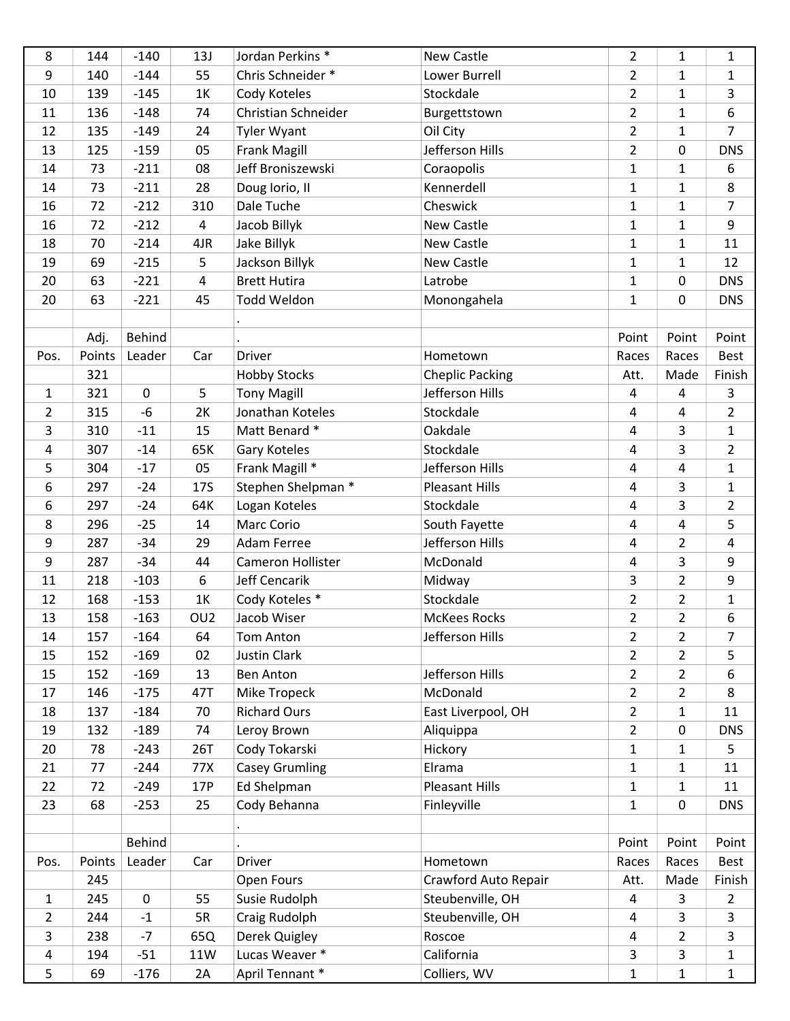| 8              | 144    | $-140$      | 13J             | Jordan Perkins <sup>*</sup> | New Castle             | $\overline{2}$          | $\mathbf{1}$   | $\mathbf{1}$   |
|----------------|--------|-------------|-----------------|-----------------------------|------------------------|-------------------------|----------------|----------------|
| 9              | 140    | $-144$      | 55              | Chris Schneider *           | Lower Burrell          | $\overline{2}$          | $\mathbf{1}$   | $\mathbf{1}$   |
| 10             | 139    | $-145$      | 1K              | Cody Koteles                | Stockdale              | $\overline{2}$          | $\mathbf{1}$   | 3              |
| 11             | 136    | $-148$      | 74              | Christian Schneider         | Burgettstown           | $\overline{2}$          | $\mathbf{1}$   | 6              |
| 12             | 135    | $-149$      | 24              | <b>Tyler Wyant</b>          | Oil City               | $\overline{2}$          | $\mathbf{1}$   | $\overline{7}$ |
| 13             | 125    | $-159$      | 05              | <b>Frank Magill</b>         | Jefferson Hills        | $\overline{2}$          | 0              | <b>DNS</b>     |
| 14             | 73     | $-211$      | 08              | Jeff Broniszewski           | Coraopolis             | $\mathbf{1}$            | $\mathbf{1}$   | 6              |
| 14             | 73     | $-211$      | 28              | Doug lorio, II              | Kennerdell             | $\mathbf{1}$            | $\mathbf{1}$   | 8              |
| 16             | 72     | $-212$      | 310             | Dale Tuche                  | Cheswick               | $\mathbf{1}$            | $\mathbf{1}$   | $\overline{7}$ |
| 16             | 72     | $-212$      | 4               | Jacob Billyk                | New Castle             | $\mathbf{1}$            | $\mathbf{1}$   | 9              |
| 18             | 70     | $-214$      | 4JR             | Jake Billyk                 | New Castle             | $\mathbf{1}$            | $\mathbf{1}$   | 11             |
| 19             | 69     | $-215$      | 5               | Jackson Billyk              | New Castle             | $\mathbf{1}$            | $\mathbf{1}$   | 12             |
| 20             | 63     | $-221$      | 4               | <b>Brett Hutira</b>         | Latrobe                | $\mathbf{1}$            | $\pmb{0}$      | <b>DNS</b>     |
| 20             | 63     | $-221$      | 45              | Todd Weldon                 | Monongahela            | $\mathbf{1}$            | $\mathbf 0$    | <b>DNS</b>     |
|                |        |             |                 |                             |                        |                         |                |                |
|                | Adj.   | Behind      |                 |                             |                        | Point                   | Point          | Point          |
| Pos.           | Points | Leader      | Car             | Driver                      | Hometown               | Races                   | Races          | Best           |
|                | 321    |             |                 | <b>Hobby Stocks</b>         | <b>Cheplic Packing</b> | Att.                    | Made           | Finish         |
| $\mathbf{1}$   | 321    | $\mathbf 0$ | 5               | <b>Tony Magill</b>          | Jefferson Hills        | 4                       | $\overline{4}$ | $\mathbf{3}$   |
| $\overline{2}$ | 315    | $-6$        | 2K              | Jonathan Koteles            | Stockdale              | 4                       | 4              | $\overline{2}$ |
| 3              | 310    | $-11$       | 15              | Matt Benard *               | Oakdale                | $\overline{4}$          | 3              | $\mathbf{1}$   |
| 4              | 307    | $-14$       | 65K             | Gary Koteles                | Stockdale              | $\overline{\mathbf{4}}$ | 3              | $\overline{2}$ |
| 5              | 304    | $-17$       | 05              | Frank Magill *              | Jefferson Hills        | 4                       | 4              | $\mathbf{1}$   |
| 6              | 297    | $-24$       | <b>17S</b>      | Stephen Shelpman *          | <b>Pleasant Hills</b>  | $\overline{4}$          | $\overline{3}$ | $\mathbf{1}$   |
| 6              | 297    | $-24$       | 64K             | Logan Koteles               | Stockdale              | 4                       | 3              | $\overline{2}$ |
| 8              | 296    | $-25$       | 14              | Marc Corio                  | South Fayette          | 4                       | $\overline{4}$ | 5              |
| 9              | 287    | $-34$       | 29              | <b>Adam Ferree</b>          | Jefferson Hills        | 4                       | $\overline{2}$ | 4              |
| 9              | 287    | $-34$       | 44              | Cameron Hollister           | McDonald               | 4                       | $\overline{3}$ | 9              |
| 11             | 218    | $-103$      | 6               | <b>Jeff Cencarik</b>        | Midway                 | $\overline{3}$          | $\overline{2}$ | 9              |
| 12             | 168    | $-153$      | 1K              | Cody Koteles *              | Stockdale              | $\overline{2}$          | $\overline{2}$ | $\mathbf{1}$   |
| 13             | 158    | $-163$      | OU <sub>2</sub> | Jacob Wiser                 | <b>McKees Rocks</b>    | $\overline{2}$          | $\overline{2}$ | 6              |
| 14             | 157    | $-164$      | 64              | Tom Anton                   | Jefferson Hills        | $\overline{2}$          | $\overline{2}$ | 7              |
| 15             | 152    | $-169$      | 02              | <b>Justin Clark</b>         |                        | $\overline{2}$          | $\overline{2}$ | 5              |
| 15             | 152    | $-169$      | 13              | <b>Ben Anton</b>            | Jefferson Hills        | $\overline{2}$          | $\overline{2}$ | 6              |
| 17             | 146    | $-175$      | 47T             | Mike Tropeck                | McDonald               | $\overline{2}$          | $\overline{2}$ | 8              |
| 18             | 137    | $-184$      | 70              | <b>Richard Ours</b>         | East Liverpool, OH     | $\overline{2}$          | $\mathbf{1}$   | 11             |
| 19             | 132    | $-189$      | 74              | Leroy Brown                 | Aliquippa              | $\overline{2}$          | 0              | <b>DNS</b>     |
| 20             | 78     | $-243$      | 26T             | Cody Tokarski               | Hickory                | $\mathbf{1}$            | $\mathbf{1}$   | 5              |
| 21             | 77     | $-244$      | 77X             | <b>Casey Grumling</b>       | Elrama                 | $\mathbf{1}$            | $\mathbf{1}$   | 11             |
| 22             | 72     | $-249$      | 17P             | Ed Shelpman                 | <b>Pleasant Hills</b>  | $\mathbf{1}$            | $\mathbf{1}$   | 11             |
| 23             | 68     | $-253$      | 25              | Cody Behanna                | Finleyville            | $\mathbf{1}$            | $\mathbf 0$    | <b>DNS</b>     |
|                |        |             |                 |                             |                        |                         |                |                |
|                |        | Behind      |                 |                             |                        | Point                   | Point          | Point          |
| Pos.           | Points | Leader      | Car             | <b>Driver</b>               | Hometown               | Races                   | Races          | Best           |
|                | 245    |             |                 | Open Fours                  | Crawford Auto Repair   | Att.                    | Made           | Finish         |
| $\mathbf{1}$   | 245    | $\mathbf 0$ | 55              | Susie Rudolph               | Steubenville, OH       | 4                       | 3              | $\overline{2}$ |
| $\overline{2}$ | 244    | $-1$        | 5R              | Craig Rudolph               | Steubenville, OH       | 4                       | 3              | $\mathsf{3}$   |
| 3              | 238    | $-7$        | 65Q             | Derek Quigley               | Roscoe                 | $\overline{\mathbf{4}}$ | $\overline{2}$ | $\mathbf{3}$   |
| 4              | 194    | $-51$       | 11W             | Lucas Weaver *              | California             | $\mathsf{3}$            | $\mathsf{3}$   | $\mathbf{1}$   |
| 5              | 69     | $-176$      | 2A              | April Tennant *             | Colliers, WV           | $\mathbf{1}$            | $\mathbf{1}$   | $\mathbf{1}$   |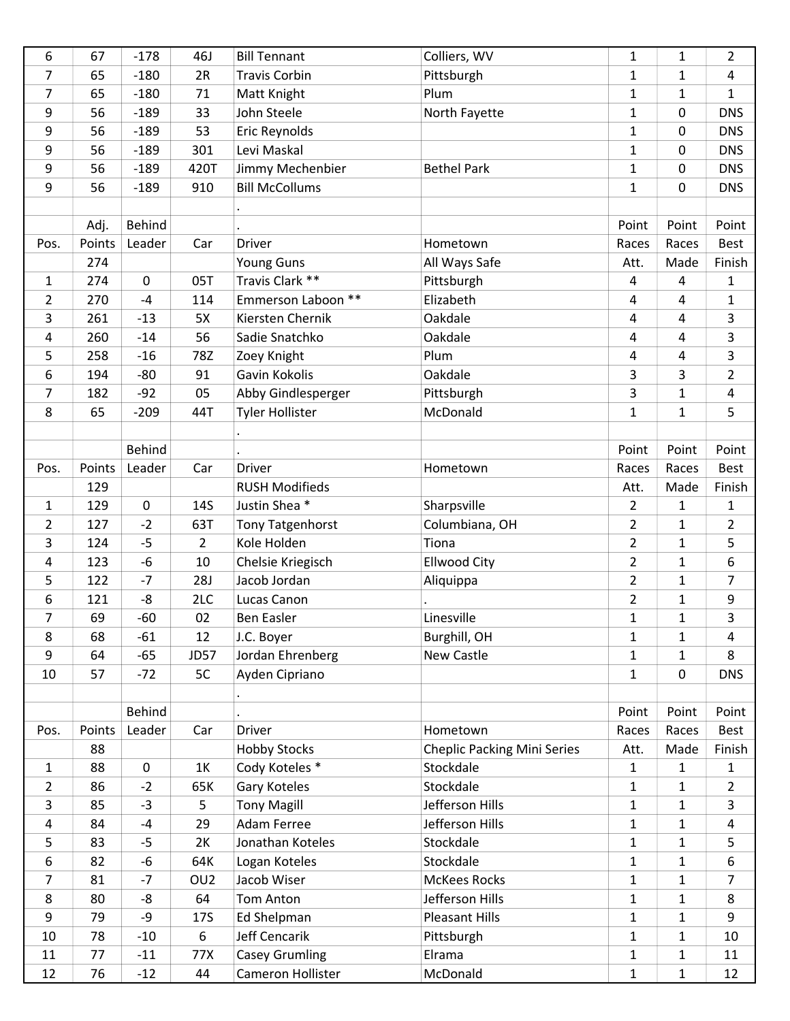| 6              | 67     | $-178$           | 46J             | <b>Bill Tennant</b>     | Colliers, WV                       | $\mathbf{1}$   | $\mathbf{1}$   | $\overline{2}$ |
|----------------|--------|------------------|-----------------|-------------------------|------------------------------------|----------------|----------------|----------------|
| 7              | 65     | $-180$           | 2R              | <b>Travis Corbin</b>    | Pittsburgh                         | $\mathbf{1}$   | $\mathbf{1}$   | 4              |
| 7              | 65     | $-180$           | 71              | Matt Knight             | Plum                               | $\mathbf{1}$   | $\mathbf{1}$   | $\mathbf{1}$   |
| 9              | 56     | $-189$           | 33              | John Steele             | North Fayette                      | 1              | 0              | <b>DNS</b>     |
| 9              | 56     | $-189$           | 53              | Eric Reynolds           |                                    | $\mathbf{1}$   | 0              | <b>DNS</b>     |
| 9              | 56     | $-189$           | 301             | Levi Maskal             |                                    | $\mathbf{1}$   | 0              | <b>DNS</b>     |
| 9              | 56     | $-189$           | 420T            | Jimmy Mechenbier        | <b>Bethel Park</b>                 | $\mathbf{1}$   | 0              | <b>DNS</b>     |
| 9              | 56     | $-189$           | 910             | <b>Bill McCollums</b>   |                                    | $\mathbf{1}$   | 0              | <b>DNS</b>     |
|                |        |                  |                 |                         |                                    |                |                |                |
|                | Adj.   | <b>Behind</b>    |                 |                         |                                    | Point          | Point          | Point          |
| Pos.           | Points | Leader           | Car             | <b>Driver</b>           | Hometown                           | Races          | Races          | <b>Best</b>    |
|                | 274    |                  |                 | Young Guns              | All Ways Safe                      | Att.           | Made           | Finish         |
| 1              | 274    | $\boldsymbol{0}$ | 05T             | Travis Clark **         | Pittsburgh                         | 4              | 4              | 1              |
| $\overline{2}$ | 270    | $-4$             | 114             | Emmerson Laboon **      | Elizabeth                          | 4              | 4              | $\mathbf{1}$   |
| 3              | 261    | $-13$            | 5X              | Kiersten Chernik        | Oakdale                            | 4              | $\overline{4}$ | 3              |
| 4              | 260    | $-14$            | 56              | Sadie Snatchko          | Oakdale                            | 4              | 4              | 3              |
| 5              | 258    | $-16$            | 78Z             | Zoey Knight             | Plum                               | 4              | $\overline{4}$ | $\overline{3}$ |
| 6              | 194    | $-80$            | 91              | Gavin Kokolis           | Oakdale                            | 3              | 3              | $\overline{2}$ |
| 7              | 182    | $-92$            | 05              | Abby Gindlesperger      | Pittsburgh                         | 3              | $\mathbf{1}$   | 4              |
| 8              | 65     | $-209$           | 44T             | <b>Tyler Hollister</b>  | McDonald                           | $\mathbf{1}$   | $\mathbf{1}$   | 5              |
|                |        |                  |                 |                         |                                    |                |                |                |
|                |        | <b>Behind</b>    |                 |                         |                                    | Point          | Point          | Point          |
| Pos.           | Points | Leader           | Car             | Driver                  | Hometown                           | Races          | Races          | <b>Best</b>    |
|                | 129    |                  |                 | <b>RUSH Modifieds</b>   |                                    | Att.           | Made           | Finish         |
| 1              | 129    | 0                | 14S             | Justin Shea*            | Sharpsville                        | $\overline{2}$ | $\mathbf{1}$   | 1              |
| 2              | 127    | $-2$             | 63T             | <b>Tony Tatgenhorst</b> | Columbiana, OH                     | $\overline{2}$ | $\mathbf{1}$   | $\overline{2}$ |
| 3              | 124    | $-5$             | $\overline{2}$  | Kole Holden             | Tiona                              | $\overline{2}$ | $\mathbf{1}$   | 5              |
| 4              | 123    | -6               | 10              | Chelsie Kriegisch       | <b>Ellwood City</b>                | $\overline{2}$ | $\mathbf{1}$   | 6              |
| 5              | 122    | $-7$             | <b>28J</b>      | Jacob Jordan            | Aliquippa                          | $\overline{2}$ | $\mathbf{1}$   | $\overline{7}$ |
| 6              | 121    | -8               | 2LC             | Lucas Canon             |                                    | $\overline{2}$ | $\mathbf{1}$   | 9              |
| 7              | 69     | $-60$            | 02              | <b>Ben Easler</b>       | Linesville                         | $\mathbf{1}$   | $\mathbf{1}$   | 3              |
| 8              | 68     | $-61$            | 12              | J.C. Boyer              | Burghill, OH                       | $\mathbf{1}$   | $\mathbf{1}$   | 4              |
| 9              | 64     | $-65$            | <b>JD57</b>     | Jordan Ehrenberg        | New Castle                         | $\mathbf{1}$   | $\mathbf{1}$   | 8              |
| 10             | 57     | $-72$            | 5C              | Ayden Cipriano          |                                    | $\mathbf{1}$   | 0              | <b>DNS</b>     |
|                |        |                  |                 |                         |                                    |                |                |                |
|                |        | <b>Behind</b>    |                 |                         |                                    | Point          | Point          | Point          |
| Pos.           | Points | Leader           | Car             | Driver                  | Hometown                           | Races          | Races          | <b>Best</b>    |
|                | 88     |                  |                 | <b>Hobby Stocks</b>     | <b>Cheplic Packing Mini Series</b> | Att.           | Made           | Finish         |
| $\mathbf{1}$   | 88     | $\mathbf 0$      | 1K              | Cody Koteles *          | Stockdale                          | $\mathbf{1}$   | $\mathbf{1}$   | 1              |
| $\overline{2}$ | 86     | $-2$             | 65K             | Gary Koteles            | Stockdale                          | $\mathbf{1}$   | $\mathbf{1}$   | $\overline{2}$ |
| 3              | 85     | $-3$             | 5               | <b>Tony Magill</b>      | Jefferson Hills                    | $\mathbf{1}$   | $\mathbf{1}$   | 3              |
| 4              | 84     | $-4$             | 29              | <b>Adam Ferree</b>      | Jefferson Hills                    | $\mathbf{1}$   | $\mathbf{1}$   | 4              |
| 5              | 83     | $-5$             | 2K              | Jonathan Koteles        | Stockdale                          | $\mathbf{1}$   | $\mathbf{1}$   | 5              |
| 6              | 82     | -6               | 64K             | Logan Koteles           | Stockdale                          | $\mathbf{1}$   | $\mathbf{1}$   | 6              |
| 7              | 81     | $-7$             | OU <sub>2</sub> | Jacob Wiser             | <b>McKees Rocks</b>                | $\mathbf{1}$   | $\mathbf{1}$   | $\overline{7}$ |
| 8              | 80     | -8               | 64              | Tom Anton               | Jefferson Hills                    | $\mathbf{1}$   | $\mathbf{1}$   | 8              |
| 9              | 79     | -9               | <b>17S</b>      | <b>Ed Shelpman</b>      | <b>Pleasant Hills</b>              | $\mathbf{1}$   | $\mathbf{1}$   | 9              |
| 10             | 78     | $-10$            | 6               | Jeff Cencarik           | Pittsburgh                         | $\mathbf{1}$   | $\mathbf{1}$   | 10             |
| 11             | 77     | $-11$            | 77X             | <b>Casey Grumling</b>   | Elrama                             | $\mathbf{1}$   | $\mathbf{1}$   | 11             |
| 12             | 76     | $-12$            | 44              | Cameron Hollister       | McDonald                           | $\mathbf{1}$   | $\mathbf{1}$   | 12             |